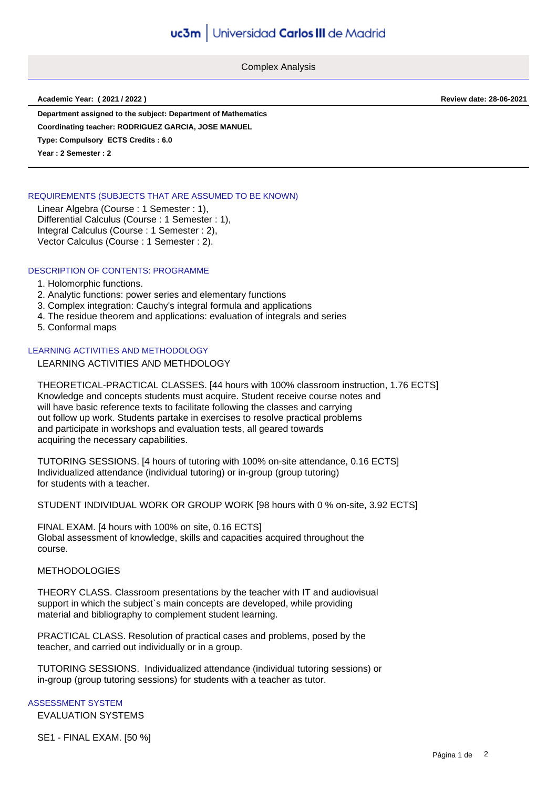Complex Analysis

**Academic Year: ( 2021 / 2022 ) Review date: 28-06-2021**

**Department assigned to the subject: Department of Mathematics**

**Coordinating teacher: RODRIGUEZ GARCIA, JOSE MANUEL**

**Type: Compulsory ECTS Credits : 6.0**

**Year : 2 Semester : 2**

## REQUIREMENTS (SUBJECTS THAT ARE ASSUMED TO BE KNOWN)

Linear Algebra (Course : 1 Semester : 1), Differential Calculus (Course : 1 Semester : 1), Integral Calculus (Course : 1 Semester : 2), Vector Calculus (Course : 1 Semester : 2).

## DESCRIPTION OF CONTENTS: PROGRAMME

### 1. Holomorphic functions.

- 2. Analytic functions: power series and elementary functions
- 3. Complex integration: Cauchy's integral formula and applications
- 4. The residue theorem and applications: evaluation of integrals and series
- 5. Conformal maps

## LEARNING ACTIVITIES AND METHODOLOGY

# LEARNING ACTIVITIES AND METHDOLOGY

THEORETICAL-PRACTICAL CLASSES. [44 hours with 100% classroom instruction, 1.76 ECTS] Knowledge and concepts students must acquire. Student receive course notes and will have basic reference texts to facilitate following the classes and carrying out follow up work. Students partake in exercises to resolve practical problems and participate in workshops and evaluation tests, all geared towards acquiring the necessary capabilities.

TUTORING SESSIONS. [4 hours of tutoring with 100% on-site attendance, 0.16 ECTS] Individualized attendance (individual tutoring) or in-group (group tutoring) for students with a teacher.

STUDENT INDIVIDUAL WORK OR GROUP WORK [98 hours with 0 % on-site, 3.92 ECTS]

FINAL EXAM. [4 hours with 100% on site, 0.16 ECTS] Global assessment of knowledge, skills and capacities acquired throughout the course.

### METHODOLOGIES

THEORY CLASS. Classroom presentations by the teacher with IT and audiovisual support in which the subject's main concepts are developed, while providing material and bibliography to complement student learning.

PRACTICAL CLASS. Resolution of practical cases and problems, posed by the teacher, and carried out individually or in a group.

TUTORING SESSIONS. Individualized attendance (individual tutoring sessions) or in-group (group tutoring sessions) for students with a teacher as tutor.

## ASSESSMENT SYSTEM

EVALUATION SYSTEMS

SE1 - FINAL EXAM. [50 %]